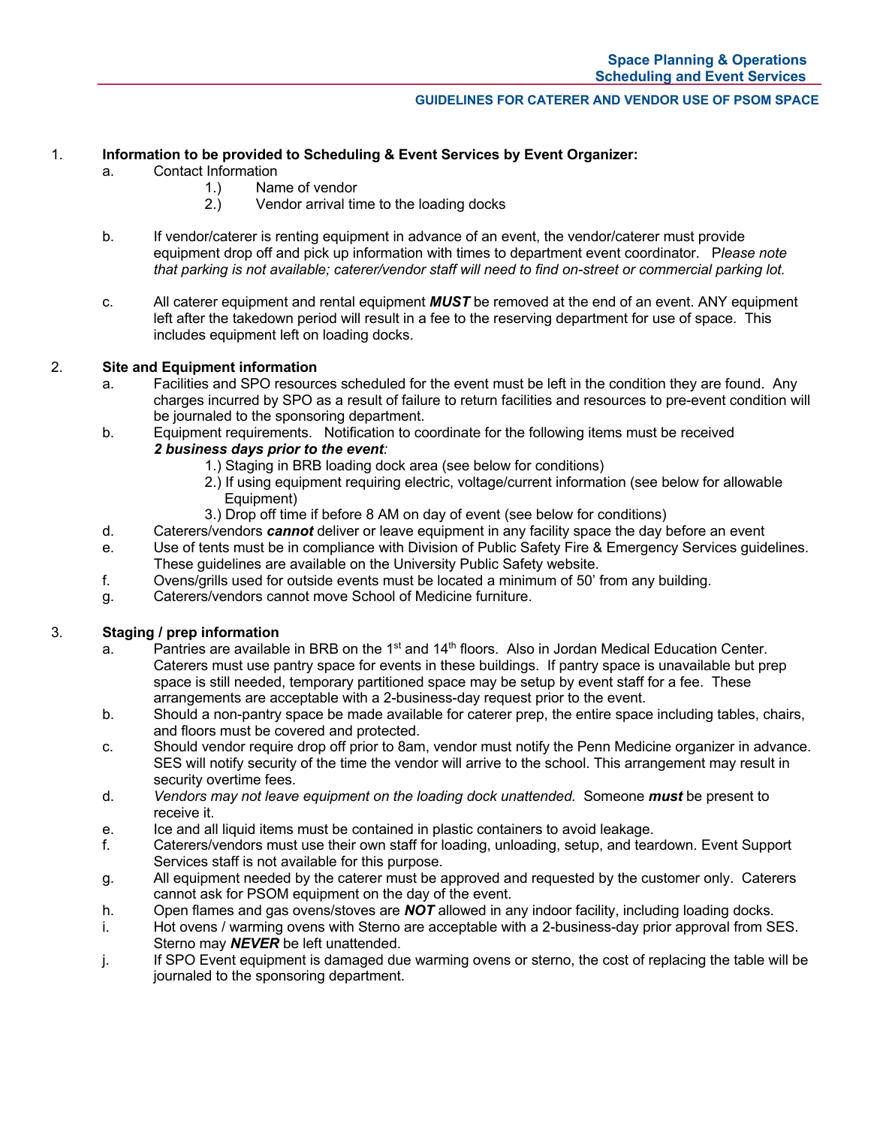#### **GUIDELINES FOR CATERER AND VENDOR USE OF PSOM SPACE**

## 1. **Information to be provided to Scheduling & Event Services by Event Organizer:**

- a. Contact Information
	- 1.) Name of vendor
	- 2.) Vendor arrival time to the loading docks
- b. If vendor/caterer is renting equipment in advance of an event, the vendor/caterer must provide equipment drop off and pick up information with times to department event coordinator. P*lease note that parking is not available; caterer/vendor staff will need to find on-street or commercial parking lot.*
- c. All caterer equipment and rental equipment *MUST* be removed at the end of an event. ANY equipment left after the takedown period will result in a fee to the reserving department for use of space. This includes equipment left on loading docks.

### 2. **Site and Equipment information**

- a. Facilities and SPO resources scheduled for the event must be left in the condition they are found. Any charges incurred by SPO as a result of failure to return facilities and resources to pre-event condition will be journaled to the sponsoring department.
- b. Equipment requirements. Notification to coordinate for the following items must be received *2 business days prior to the event:*
	- 1.) Staging in BRB loading dock area (see below for conditions)
	- 2.) If using equipment requiring electric, voltage/current information (see below for allowable Equipment)
	- 3.) Drop off time if before 8 AM on day of event (see below for conditions)
- d. Caterers/vendors *cannot* deliver or leave equipment in any facility space the day before an event
- e. Use of tents must be in compliance with Division of Public Safety Fire & Emergency Services guidelines. These guidelines are available on the University Public Safety website.
- f. Ovens/grills used for outside events must be located a minimum of 50' from any building.
- g. Caterers/vendors cannot move School of Medicine furniture.

# 3. **Staging / prep information**

- a. Pantries are available in BRB on the  $1<sup>st</sup>$  and  $14<sup>th</sup>$  floors. Also in Jordan Medical Education Center. Caterers must use pantry space for events in these buildings. If pantry space is unavailable but prep space is still needed, temporary partitioned space may be setup by event staff for a fee. These arrangements are acceptable with a 2-business-day request prior to the event.
- b. Should a non-pantry space be made available for caterer prep, the entire space including tables, chairs, and floors must be covered and protected.
- c. Should vendor require drop off prior to 8am, vendor must notify the Penn Medicine organizer in advance. SES will notify security of the time the vendor will arrive to the school. This arrangement may result in security overtime fees.
- d. *Vendors may not leave equipment on the loading dock unattended.* Someone *must* be present to receive it.
- e. Ice and all liquid items must be contained in plastic containers to avoid leakage.
- f. Caterers/vendors must use their own staff for loading, unloading, setup, and teardown. Event Support Services staff is not available for this purpose.
- g. All equipment needed by the caterer must be approved and requested by the customer only. Caterers cannot ask for PSOM equipment on the day of the event.
- h. Open flames and gas ovens/stoves are *NOT* allowed in any indoor facility, including loading docks.
- i. Hot ovens / warming ovens with Sterno are acceptable with a 2-business-day prior approval from SES. Sterno may *NEVER* be left unattended.
- j. If SPO Event equipment is damaged due warming ovens or sterno, the cost of replacing the table will be journaled to the sponsoring department.